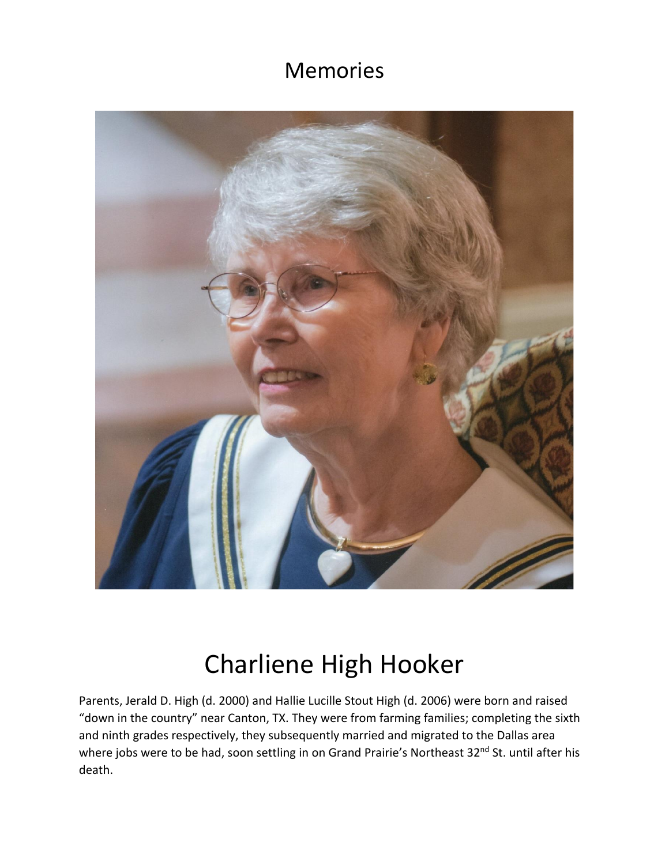## Memories



## Charliene High Hooker

Parents, Jerald D. High (d. 2000) and Hallie Lucille Stout High (d. 2006) were born and raised "down in the country" near Canton, TX. They were from farming families; completing the sixth and ninth grades respectively, they subsequently married and migrated to the Dallas area where jobs were to be had, soon settling in on Grand Prairie's Northeast 32<sup>nd</sup> St. until after his death.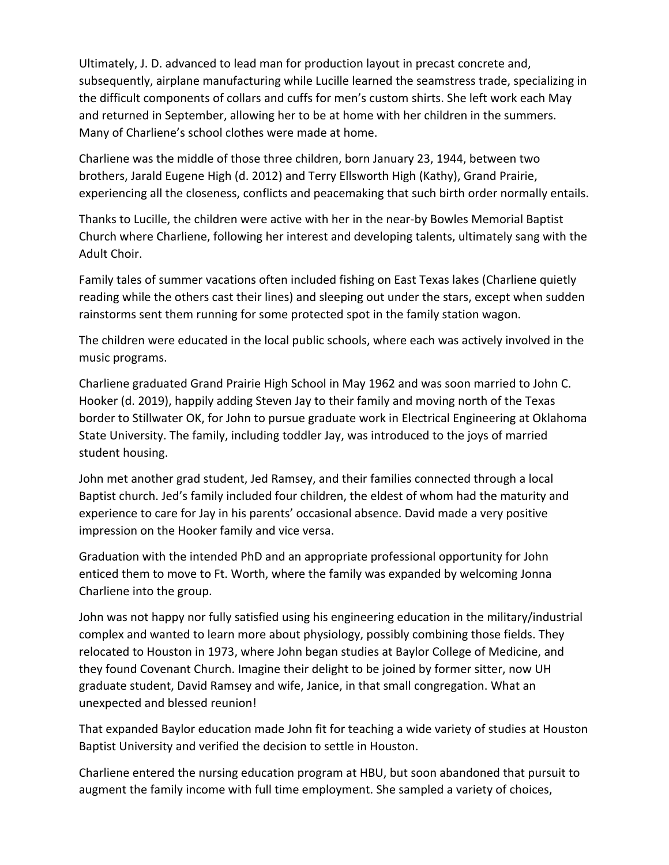Ultimately, J. D. advanced to lead man for production layout in precast concrete and, subsequently, airplane manufacturing while Lucille learned the seamstress trade, specializing in the difficult components of collars and cuffs for men's custom shirts. She left work each May and returned in September, allowing her to be at home with her children in the summers. Many of Charliene's school clothes were made at home.

Charliene was the middle of those three children, born January 23, 1944, between two brothers, Jarald Eugene High (d. 2012) and Terry Ellsworth High (Kathy), Grand Prairie, experiencing all the closeness, conflicts and peacemaking that such birth order normally entails.

Thanks to Lucille, the children were active with her in the near-by Bowles Memorial Baptist Church where Charliene, following her interest and developing talents, ultimately sang with the Adult Choir.

Family tales of summer vacations often included fishing on East Texas lakes (Charliene quietly reading while the others cast their lines) and sleeping out under the stars, except when sudden rainstorms sent them running for some protected spot in the family station wagon.

The children were educated in the local public schools, where each was actively involved in the music programs.

Charliene graduated Grand Prairie High School in May 1962 and was soon married to John C. Hooker (d. 2019), happily adding Steven Jay to their family and moving north of the Texas border to Stillwater OK, for John to pursue graduate work in Electrical Engineering at Oklahoma State University. The family, including toddler Jay, was introduced to the joys of married student housing.

John met another grad student, Jed Ramsey, and their families connected through a local Baptist church. Jed's family included four children, the eldest of whom had the maturity and experience to care for Jay in his parents' occasional absence. David made a very positive impression on the Hooker family and vice versa.

Graduation with the intended PhD and an appropriate professional opportunity for John enticed them to move to Ft. Worth, where the family was expanded by welcoming Jonna Charliene into the group.

John was not happy nor fully satisfied using his engineering education in the military/industrial complex and wanted to learn more about physiology, possibly combining those fields. They relocated to Houston in 1973, where John began studies at Baylor College of Medicine, and they found Covenant Church. Imagine their delight to be joined by former sitter, now UH graduate student, David Ramsey and wife, Janice, in that small congregation. What an unexpected and blessed reunion!

That expanded Baylor education made John fit for teaching a wide variety of studies at Houston Baptist University and verified the decision to settle in Houston.

Charliene entered the nursing education program at HBU, but soon abandoned that pursuit to augment the family income with full time employment. She sampled a variety of choices,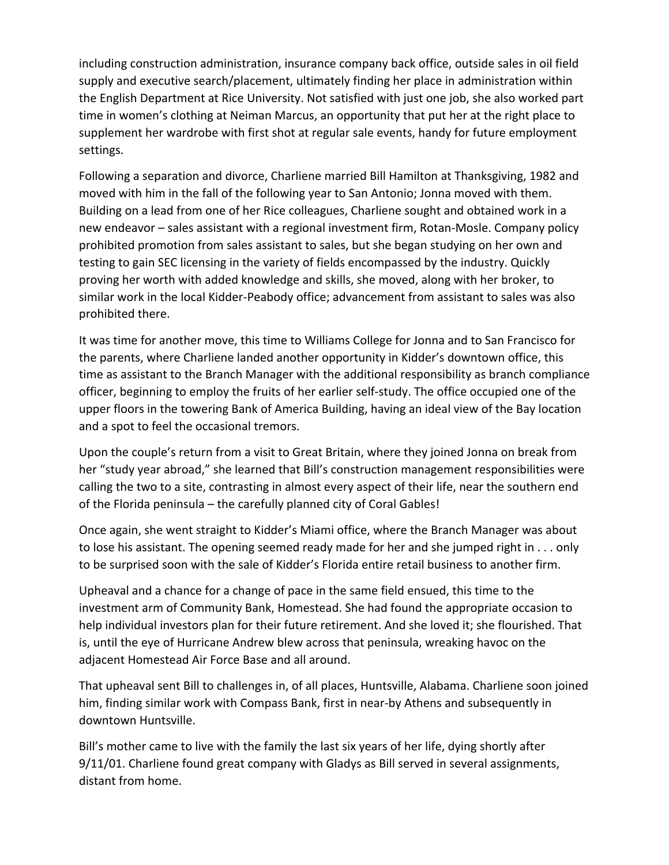including construction administration, insurance company back office, outside sales in oil field supply and executive search/placement, ultimately finding her place in administration within the English Department at Rice University. Not satisfied with just one job, she also worked part time in women's clothing at Neiman Marcus, an opportunity that put her at the right place to supplement her wardrobe with first shot at regular sale events, handy for future employment settings.

Following a separation and divorce, Charliene married Bill Hamilton at Thanksgiving, 1982 and moved with him in the fall of the following year to San Antonio; Jonna moved with them. Building on a lead from one of her Rice colleagues, Charliene sought and obtained work in a new endeavor – sales assistant with a regional investment firm, Rotan-Mosle. Company policy prohibited promotion from sales assistant to sales, but she began studying on her own and testing to gain SEC licensing in the variety of fields encompassed by the industry. Quickly proving her worth with added knowledge and skills, she moved, along with her broker, to similar work in the local Kidder-Peabody office; advancement from assistant to sales was also prohibited there.

It was time for another move, this time to Williams College for Jonna and to San Francisco for the parents, where Charliene landed another opportunity in Kidder's downtown office, this time as assistant to the Branch Manager with the additional responsibility as branch compliance officer, beginning to employ the fruits of her earlier self-study. The office occupied one of the upper floors in the towering Bank of America Building, having an ideal view of the Bay location and a spot to feel the occasional tremors.

Upon the couple's return from a visit to Great Britain, where they joined Jonna on break from her "study year abroad," she learned that Bill's construction management responsibilities were calling the two to a site, contrasting in almost every aspect of their life, near the southern end of the Florida peninsula – the carefully planned city of Coral Gables!

Once again, she went straight to Kidder's Miami office, where the Branch Manager was about to lose his assistant. The opening seemed ready made for her and she jumped right in . . . only to be surprised soon with the sale of Kidder's Florida entire retail business to another firm.

Upheaval and a chance for a change of pace in the same field ensued, this time to the investment arm of Community Bank, Homestead. She had found the appropriate occasion to help individual investors plan for their future retirement. And she loved it; she flourished. That is, until the eye of Hurricane Andrew blew across that peninsula, wreaking havoc on the adjacent Homestead Air Force Base and all around.

That upheaval sent Bill to challenges in, of all places, Huntsville, Alabama. Charliene soon joined him, finding similar work with Compass Bank, first in near-by Athens and subsequently in downtown Huntsville.

Bill's mother came to live with the family the last six years of her life, dying shortly after 9/11/01. Charliene found great company with Gladys as Bill served in several assignments, distant from home.